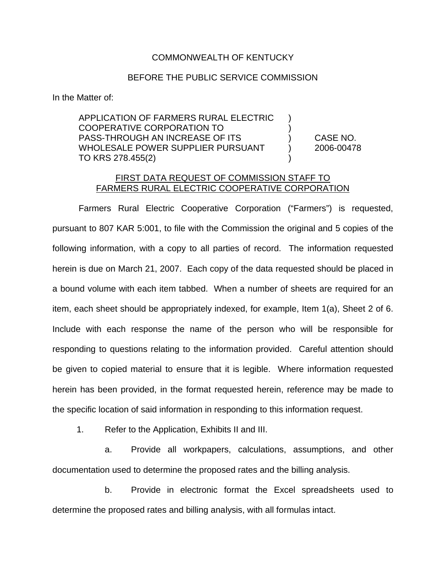## COMMONWEALTH OF KENTUCKY

## BEFORE THE PUBLIC SERVICE COMMISSION

In the Matter of:

APPLICATION OF FARMERS RURAL ELECTRIC ) COOPERATIVE CORPORATION TO ) PASS-THROUGH AN INCREASE OF ITS ) CASE NO. WHOLESALE POWER SUPPLIER PURSUANT (2006-00478 TO KRS 278.455(2)

## FIRST DATA REQUEST OF COMMISSION STAFF TO FARMERS RURAL ELECTRIC COOPERATIVE CORPORATION

Farmers Rural Electric Cooperative Corporation ("Farmers") is requested, pursuant to 807 KAR 5:001, to file with the Commission the original and 5 copies of the following information, with a copy to all parties of record. The information requested herein is due on March 21, 2007. Each copy of the data requested should be placed in a bound volume with each item tabbed. When a number of sheets are required for an item, each sheet should be appropriately indexed, for example, Item 1(a), Sheet 2 of 6. Include with each response the name of the person who will be responsible for responding to questions relating to the information provided. Careful attention should be given to copied material to ensure that it is legible. Where information requested herein has been provided, in the format requested herein, reference may be made to the specific location of said information in responding to this information request.

1. Refer to the Application, Exhibits II and III.

a. Provide all workpapers, calculations, assumptions, and other documentation used to determine the proposed rates and the billing analysis.

b. Provide in electronic format the Excel spreadsheets used to determine the proposed rates and billing analysis, with all formulas intact.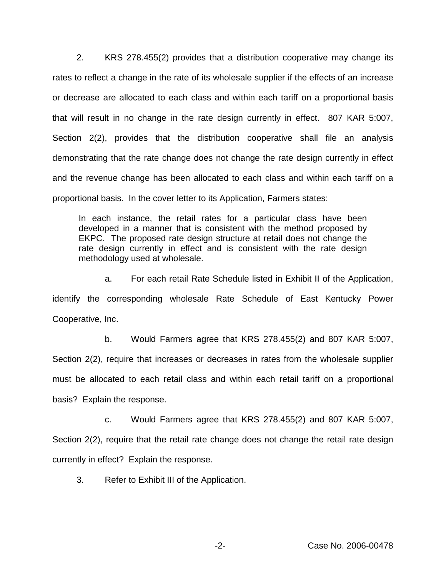2. KRS 278.455(2) provides that a distribution cooperative may change its rates to reflect a change in the rate of its wholesale supplier if the effects of an increase or decrease are allocated to each class and within each tariff on a proportional basis that will result in no change in the rate design currently in effect. 807 KAR 5:007, Section 2(2), provides that the distribution cooperative shall file an analysis demonstrating that the rate change does not change the rate design currently in effect and the revenue change has been allocated to each class and within each tariff on a proportional basis. In the cover letter to its Application, Farmers states:

In each instance, the retail rates for a particular class have been developed in a manner that is consistent with the method proposed by EKPC. The proposed rate design structure at retail does not change the rate design currently in effect and is consistent with the rate design methodology used at wholesale.

a. For each retail Rate Schedule listed in Exhibit II of the Application, identify the corresponding wholesale Rate Schedule of East Kentucky Power Cooperative, Inc.

b. Would Farmers agree that KRS 278.455(2) and 807 KAR 5:007, Section 2(2), require that increases or decreases in rates from the wholesale supplier must be allocated to each retail class and within each retail tariff on a proportional basis? Explain the response.

c. Would Farmers agree that KRS 278.455(2) and 807 KAR 5:007, Section 2(2), require that the retail rate change does not change the retail rate design currently in effect? Explain the response.

3. Refer to Exhibit III of the Application.